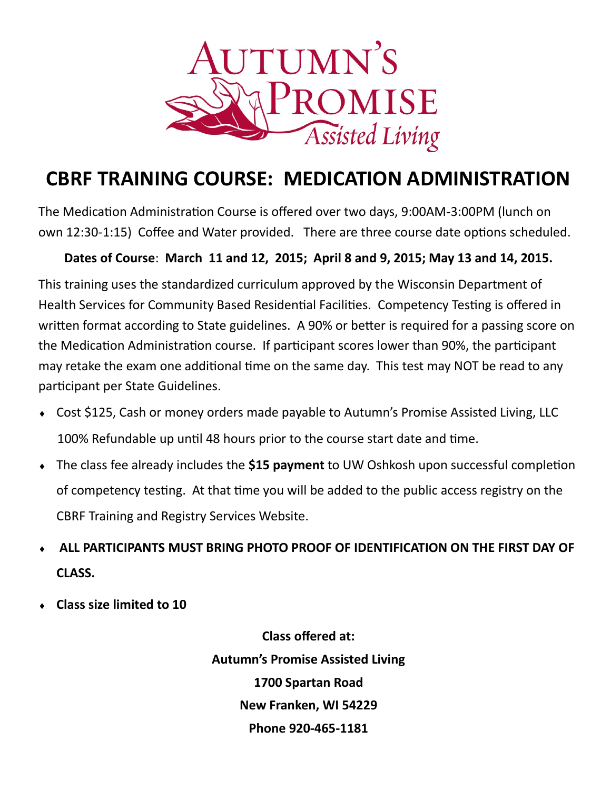

## **CBRF TRAINING COURSE: MEDICATION ADMINISTRATION**

The Medication Administration Course is offered over two days, 9:00AM-3:00PM (lunch on own 12:30-1:15) Coffee and Water provided. There are three course date options scheduled.

## **Dates of Course**: **March 11 and 12, 2015; April 8 and 9, 2015; May 13 and 14, 2015.**

This training uses the standardized curriculum approved by the Wisconsin Department of Health Services for Community Based Residential Facilities. Competency Testing is offered in written format according to State guidelines. A 90% or better is required for a passing score on the Medication Administration course. If participant scores lower than 90%, the participant may retake the exam one additional time on the same day. This test may NOT be read to any participant per State Guidelines.

- Cost \$125, Cash or money orders made payable to Autumn's Promise Assisted Living, LLC 100% Refundable up until 48 hours prior to the course start date and time.
- The class fee already includes the **\$15 payment** to UW Oshkosh upon successful completion of competency testing. At that time you will be added to the public access registry on the CBRF Training and Registry Services Website.
- **ALL PARTICIPANTS MUST BRING PHOTO PROOF OF IDENTIFICATION ON THE FIRST DAY OF CLASS.**
- **Class size limited to 10**

**Class offered at: Autumn's Promise Assisted Living 1700 Spartan Road New Franken, WI 54229 Phone 920-465-1181**